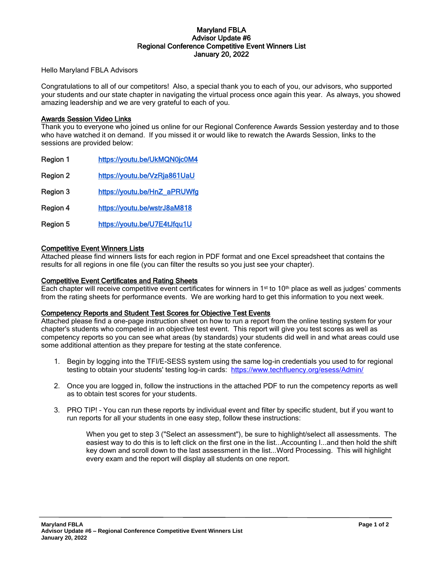### Maryland FBLA Advisor Update #6 Regional Conference Competitive Event Winners List January 20, 2022

Hello Maryland FBLA Advisors

Congratulations to all of our competitors! Also, a special thank you to each of you, our advisors, who supported your students and our state chapter in navigating the virtual process once again this year. As always, you showed amazing leadership and we are very grateful to each of you.

### Awards Session Video Links

Thank you to everyone who joined us online for our Regional Conference Awards Session yesterday and to those who have watched it on demand. If you missed it or would like to rewatch the Awards Session, links to the sessions are provided below:

| Region 1        | https://youtu.be/UkMQN0jc0M4 |
|-----------------|------------------------------|
| Region 2        | https://youtu.be/VzRja861UaU |
| Region 3        | https://youtu.be/HnZ_aPRUWfg |
| <b>Region 4</b> | https://youtu.be/wstrJ8aM818 |
|                 |                              |

Region 5 <https://youtu.be/U7E4tJfqu1U>

# Competitive Event Winners Lists

Attached please find winners lists for each region in PDF format and one Excel spreadsheet that contains the results for all regions in one file (you can filter the results so you just see your chapter).

### Competitive Event Certificates and Rating Sheets

Each chapter will receive competitive event certificates for winners in  $1<sup>st</sup>$  to  $10<sup>th</sup>$  place as well as judges' comments from the rating sheets for performance events. We are working hard to get this information to you next week.

# Competency Reports and Student Test Scores for Objective Test Events

Attached please find a one-page instruction sheet on how to run a report from the online testing system for your chapter's students who competed in an objective test event. This report will give you test scores as well as competency reports so you can see what areas (by standards) your students did well in and what areas could use some additional attention as they prepare for testing at the state conference.

- 1. Begin by logging into the TFI/E-SESS system using the same log-in credentials you used to for regional testing to obtain your students' testing log-in cards: <https://www.techfluency.org/esess/Admin/>
- 2. Once you are logged in, follow the instructions in the attached PDF to run the competency reports as well as to obtain test scores for your students.
- 3. PRO TIP! You can run these reports by individual event and filter by specific student, but if you want to run reports for all your students in one easy step, follow these instructions:

When you get to step 3 ("Select an assessment"), be sure to highlight/select all assessments. The easiest way to do this is to left click on the first one in the list...Accounting I...and then hold the shift key down and scroll down to the last assessment in the list...Word Processing. This will highlight every exam and the report will display all students on one report.